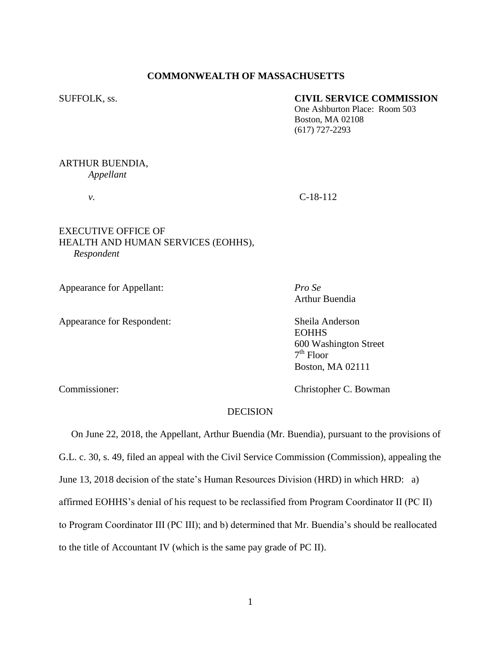# **COMMONWEALTH OF MASSACHUSETTS**

## SUFFOLK, ss. **CIVIL SERVICE COMMISSION**

One Ashburton Place: Room 503 Boston, MA 02108 (617) 727-2293

# ARTHUR BUENDIA,

*Appellant*

*v.* C-18-112

# EXECUTIVE OFFICE OF HEALTH AND HUMAN SERVICES (EOHHS), *Respondent*

Appearance for Appellant: *Pro Se*

Appearance for Respondent: Sheila Anderson

Arthur Buendia

**EOHHS** 600 Washington Street 7 th Floor Boston, MA 02111

Commissioner: Christopher C. Bowman

# **DECISION**

 On June 22, 2018, the Appellant, Arthur Buendia (Mr. Buendia), pursuant to the provisions of G.L. c. 30, s. 49, filed an appeal with the Civil Service Commission (Commission), appealing the June 13, 2018 decision of the state's Human Resources Division (HRD) in which HRD: a) affirmed EOHHS's denial of his request to be reclassified from Program Coordinator II (PC II) to Program Coordinator III (PC III); and b) determined that Mr. Buendia's should be reallocated to the title of Accountant IV (which is the same pay grade of PC II).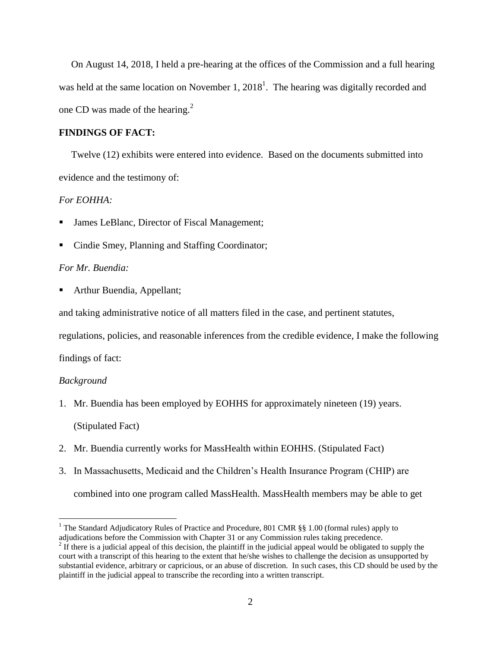On August 14, 2018, I held a pre-hearing at the offices of the Commission and a full hearing was held at the same location on November 1,  $2018<sup>1</sup>$ . The hearing was digitally recorded and one CD was made of the hearing. $2$ 

### **FINDINGS OF FACT:**

 Twelve (12) exhibits were entered into evidence. Based on the documents submitted into evidence and the testimony of:

# *For EOHHA:*

- James LeBlanc, Director of Fiscal Management;
- Cindie Smey, Planning and Staffing Coordinator;

# *For Mr. Buendia:*

Arthur Buendia, Appellant;

and taking administrative notice of all matters filed in the case, and pertinent statutes,

regulations, policies, and reasonable inferences from the credible evidence, I make the following

findings of fact:

#### *Background*

 $\overline{a}$ 

- 1. Mr. Buendia has been employed by EOHHS for approximately nineteen (19) years. (Stipulated Fact)
- 2. Mr. Buendia currently works for MassHealth within EOHHS. (Stipulated Fact)
- 3. In Massachusetts, Medicaid and the Children's Health Insurance Program (CHIP) are combined into one program called MassHealth. MassHealth members may be able to get

<sup>&</sup>lt;sup>1</sup> The Standard Adjudicatory Rules of Practice and Procedure, 801 CMR §§ 1.00 (formal rules) apply to adjudications before the Commission with Chapter 31 or any Commission rules taking precedence.

 $2<sup>2</sup>$  If there is a judicial appeal of this decision, the plaintiff in the judicial appeal would be obligated to supply the court with a transcript of this hearing to the extent that he/she wishes to challenge the decision as unsupported by substantial evidence, arbitrary or capricious, or an abuse of discretion. In such cases, this CD should be used by the plaintiff in the judicial appeal to transcribe the recording into a written transcript.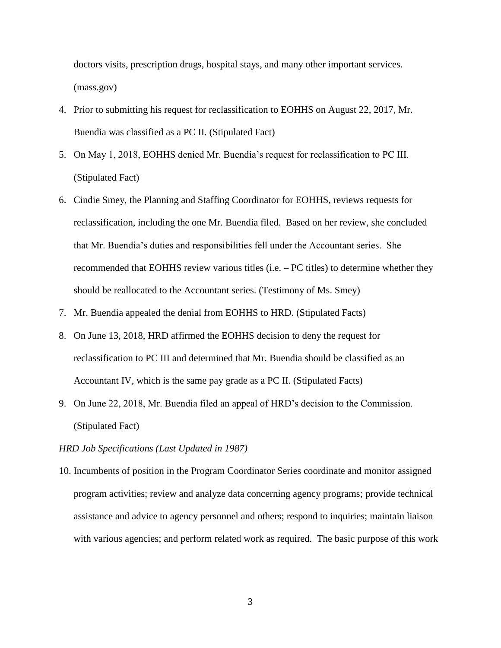doctors visits, prescription drugs, hospital stays, and many other important services. (mass.gov)

- 4. Prior to submitting his request for reclassification to EOHHS on August 22, 2017, Mr. Buendia was classified as a PC II. (Stipulated Fact)
- 5. On May 1, 2018, EOHHS denied Mr. Buendia's request for reclassification to PC III. (Stipulated Fact)
- 6. Cindie Smey, the Planning and Staffing Coordinator for EOHHS, reviews requests for reclassification, including the one Mr. Buendia filed. Based on her review, she concluded that Mr. Buendia's duties and responsibilities fell under the Accountant series. She recommended that EOHHS review various titles (i.e. – PC titles) to determine whether they should be reallocated to the Accountant series. (Testimony of Ms. Smey)
- 7. Mr. Buendia appealed the denial from EOHHS to HRD. (Stipulated Facts)
- 8. On June 13, 2018, HRD affirmed the EOHHS decision to deny the request for reclassification to PC III and determined that Mr. Buendia should be classified as an Accountant IV, which is the same pay grade as a PC II. (Stipulated Facts)
- 9. On June 22, 2018, Mr. Buendia filed an appeal of HRD's decision to the Commission. (Stipulated Fact)

## *HRD Job Specifications (Last Updated in 1987)*

10. Incumbents of position in the Program Coordinator Series coordinate and monitor assigned program activities; review and analyze data concerning agency programs; provide technical assistance and advice to agency personnel and others; respond to inquiries; maintain liaison with various agencies; and perform related work as required. The basic purpose of this work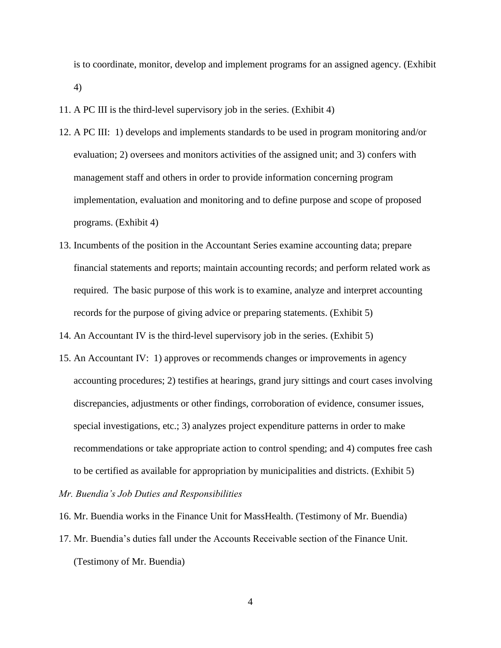is to coordinate, monitor, develop and implement programs for an assigned agency. (Exhibit 4)

- 11. A PC III is the third-level supervisory job in the series. (Exhibit 4)
- 12. A PC III: 1) develops and implements standards to be used in program monitoring and/or evaluation; 2) oversees and monitors activities of the assigned unit; and 3) confers with management staff and others in order to provide information concerning program implementation, evaluation and monitoring and to define purpose and scope of proposed programs. (Exhibit 4)
- 13. Incumbents of the position in the Accountant Series examine accounting data; prepare financial statements and reports; maintain accounting records; and perform related work as required. The basic purpose of this work is to examine, analyze and interpret accounting records for the purpose of giving advice or preparing statements. (Exhibit 5)

14. An Accountant IV is the third-level supervisory job in the series. (Exhibit 5)

15. An Accountant IV: 1) approves or recommends changes or improvements in agency accounting procedures; 2) testifies at hearings, grand jury sittings and court cases involving discrepancies, adjustments or other findings, corroboration of evidence, consumer issues, special investigations, etc.; 3) analyzes project expenditure patterns in order to make recommendations or take appropriate action to control spending; and 4) computes free cash to be certified as available for appropriation by municipalities and districts. (Exhibit 5)

*Mr. Buendia's Job Duties and Responsibilities* 

- 16. Mr. Buendia works in the Finance Unit for MassHealth. (Testimony of Mr. Buendia)
- 17. Mr. Buendia's duties fall under the Accounts Receivable section of the Finance Unit. (Testimony of Mr. Buendia)

4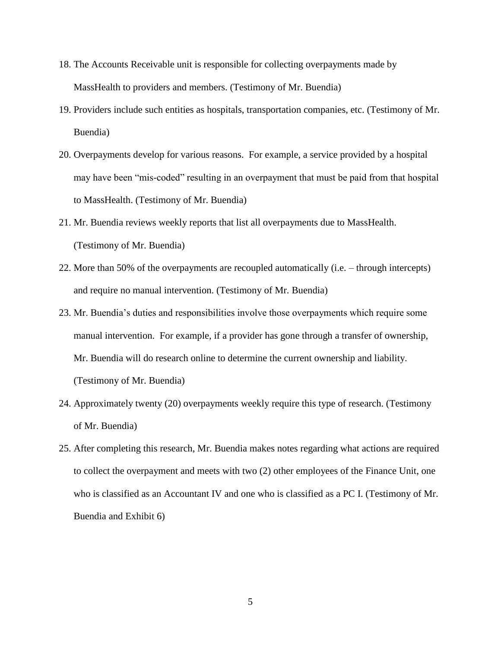- 18. The Accounts Receivable unit is responsible for collecting overpayments made by MassHealth to providers and members. (Testimony of Mr. Buendia)
- 19. Providers include such entities as hospitals, transportation companies, etc. (Testimony of Mr. Buendia)
- 20. Overpayments develop for various reasons. For example, a service provided by a hospital may have been "mis-coded" resulting in an overpayment that must be paid from that hospital to MassHealth. (Testimony of Mr. Buendia)
- 21. Mr. Buendia reviews weekly reports that list all overpayments due to MassHealth. (Testimony of Mr. Buendia)
- 22. More than 50% of the overpayments are recoupled automatically (i.e. through intercepts) and require no manual intervention. (Testimony of Mr. Buendia)
- 23. Mr. Buendia's duties and responsibilities involve those overpayments which require some manual intervention. For example, if a provider has gone through a transfer of ownership, Mr. Buendia will do research online to determine the current ownership and liability. (Testimony of Mr. Buendia)
- 24. Approximately twenty (20) overpayments weekly require this type of research. (Testimony of Mr. Buendia)
- 25. After completing this research, Mr. Buendia makes notes regarding what actions are required to collect the overpayment and meets with two (2) other employees of the Finance Unit, one who is classified as an Accountant IV and one who is classified as a PC I. (Testimony of Mr. Buendia and Exhibit 6)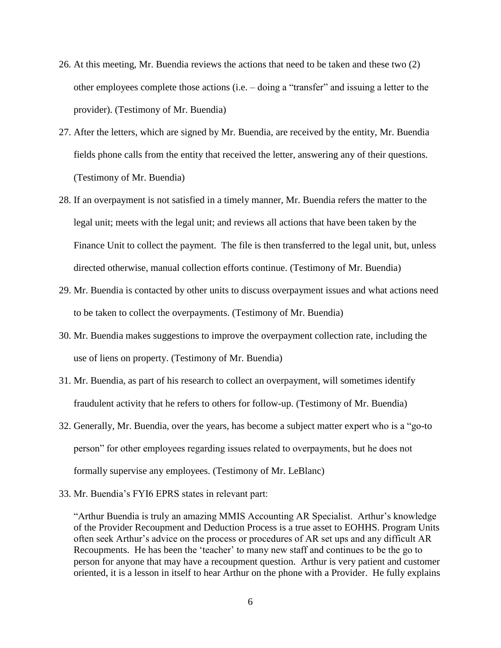- 26. At this meeting, Mr. Buendia reviews the actions that need to be taken and these two (2) other employees complete those actions (i.e. – doing a "transfer" and issuing a letter to the provider). (Testimony of Mr. Buendia)
- 27. After the letters, which are signed by Mr. Buendia, are received by the entity, Mr. Buendia fields phone calls from the entity that received the letter, answering any of their questions. (Testimony of Mr. Buendia)
- 28. If an overpayment is not satisfied in a timely manner, Mr. Buendia refers the matter to the legal unit; meets with the legal unit; and reviews all actions that have been taken by the Finance Unit to collect the payment. The file is then transferred to the legal unit, but, unless directed otherwise, manual collection efforts continue. (Testimony of Mr. Buendia)
- 29. Mr. Buendia is contacted by other units to discuss overpayment issues and what actions need to be taken to collect the overpayments. (Testimony of Mr. Buendia)
- 30. Mr. Buendia makes suggestions to improve the overpayment collection rate, including the use of liens on property. (Testimony of Mr. Buendia)
- 31. Mr. Buendia, as part of his research to collect an overpayment, will sometimes identify fraudulent activity that he refers to others for follow-up. (Testimony of Mr. Buendia)
- 32. Generally, Mr. Buendia, over the years, has become a subject matter expert who is a "go-to person" for other employees regarding issues related to overpayments, but he does not formally supervise any employees. (Testimony of Mr. LeBlanc)
- 33. Mr. Buendia's FYI6 EPRS states in relevant part:

"Arthur Buendia is truly an amazing MMIS Accounting AR Specialist. Arthur's knowledge of the Provider Recoupment and Deduction Process is a true asset to EOHHS. Program Units often seek Arthur's advice on the process or procedures of AR set ups and any difficult AR Recoupments. He has been the 'teacher' to many new staff and continues to be the go to person for anyone that may have a recoupment question. Arthur is very patient and customer oriented, it is a lesson in itself to hear Arthur on the phone with a Provider. He fully explains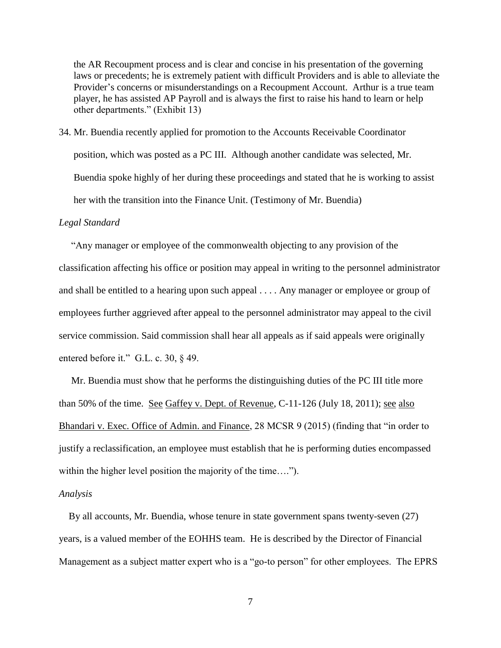the AR Recoupment process and is clear and concise in his presentation of the governing laws or precedents; he is extremely patient with difficult Providers and is able to alleviate the Provider's concerns or misunderstandings on a Recoupment Account. Arthur is a true team player, he has assisted AP Payroll and is always the first to raise his hand to learn or help other departments." (Exhibit 13)

34. Mr. Buendia recently applied for promotion to the Accounts Receivable Coordinator position, which was posted as a PC III. Although another candidate was selected, Mr. Buendia spoke highly of her during these proceedings and stated that he is working to assist her with the transition into the Finance Unit. (Testimony of Mr. Buendia)

#### *Legal Standard*

"Any manager or employee of the commonwealth objecting to any provision of the classification affecting his office or position may appeal in writing to the personnel administrator and shall be entitled to a hearing upon such appeal . . . . Any manager or employee or group of employees further aggrieved after appeal to the personnel administrator may appeal to the civil service commission. Said commission shall hear all appeals as if said appeals were originally entered before it." G.L. c. 30, § 49.

 Mr. Buendia must show that he performs the distinguishing duties of the PC III title more than 50% of the time. See Gaffey v. Dept. of Revenue, C-11-126 (July 18, 2011); see also Bhandari v. Exec. Office of Admin. and Finance, 28 MCSR 9 (2015) (finding that "in order to justify a reclassification, an employee must establish that he is performing duties encompassed within the higher level position the majority of the time....").

#### *Analysis*

 By all accounts, Mr. Buendia, whose tenure in state government spans twenty-seven (27) years, is a valued member of the EOHHS team. He is described by the Director of Financial Management as a subject matter expert who is a "go-to person" for other employees. The EPRS

7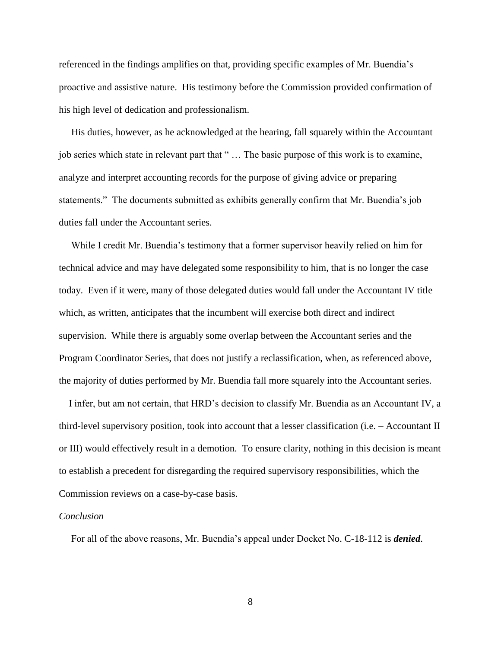referenced in the findings amplifies on that, providing specific examples of Mr. Buendia's proactive and assistive nature. His testimony before the Commission provided confirmation of his high level of dedication and professionalism.

 His duties, however, as he acknowledged at the hearing, fall squarely within the Accountant job series which state in relevant part that " … The basic purpose of this work is to examine, analyze and interpret accounting records for the purpose of giving advice or preparing statements." The documents submitted as exhibits generally confirm that Mr. Buendia's job duties fall under the Accountant series.

 While I credit Mr. Buendia's testimony that a former supervisor heavily relied on him for technical advice and may have delegated some responsibility to him, that is no longer the case today. Even if it were, many of those delegated duties would fall under the Accountant IV title which, as written, anticipates that the incumbent will exercise both direct and indirect supervision. While there is arguably some overlap between the Accountant series and the Program Coordinator Series, that does not justify a reclassification, when, as referenced above, the majority of duties performed by Mr. Buendia fall more squarely into the Accountant series.

 I infer, but am not certain, that HRD's decision to classify Mr. Buendia as an Accountant IV, a third-level supervisory position, took into account that a lesser classification (i.e. – Accountant II or III) would effectively result in a demotion. To ensure clarity, nothing in this decision is meant to establish a precedent for disregarding the required supervisory responsibilities, which the Commission reviews on a case-by-case basis.

#### *Conclusion*

For all of the above reasons, Mr. Buendia's appeal under Docket No. C-18-112 is *denied*.